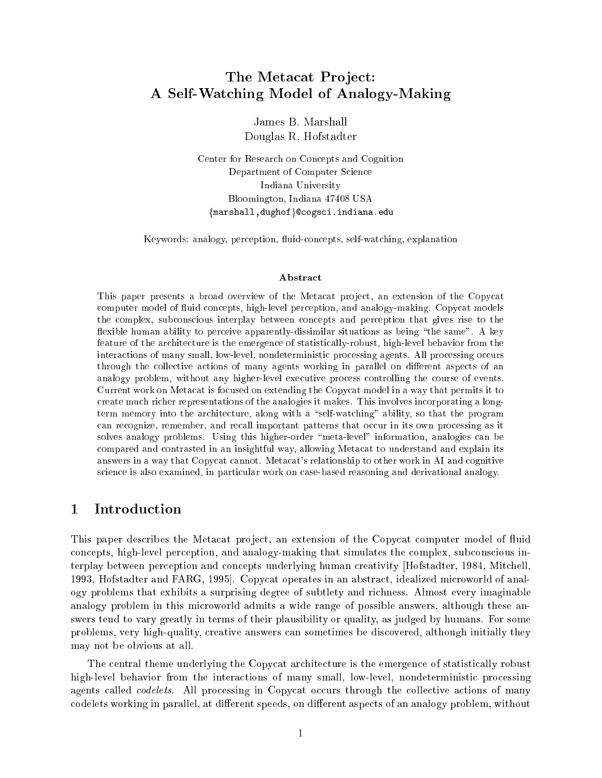# The Metacat Project: A Self-Watching Model of Analogy-Making

James B. Marshall Douglas R. Hofstadter

Center for Research on Concepts and Cognition Department of Computer Science Indiana University Bloomington, Indiana 47408 USA {marshall,dughof}@cogsci.indiana.edu

Keywords: analogy, perception, fluid-concepts, self-watching, explanation

### Abstract

This paper presents a broad overview of the Metacat project, an extension of the Copycat computer model of fluid concepts, high-level perception, and analogy-making. Copycat models the complex, subconscious interplay between concepts and perception that gives rise to the flexible human ability to perceive apparently-dissimilar situations as being "the same". A key feature of the architecture is the emergence of statistically-robust, high-level behavior from the interactions of many small, low-level, nondeterministic processing agents. All processing occurs through the collective actions of many agents working in parallel on different aspects of an analogy problem, without any higher-level executive process controlling the course of events. Current work on Metacat is focused on extending the Copycat model in a way that permits it to create much richer representations of the analogies it makes. This involves incorporating a longterm memory into the architecture, along with a "self-watching" ability, so that the program can recognize, remember, and recall important patterns that occur in its own processing as it solves analogy problems. Using this higher-order \meta-level" information, analogies can be compared and contrasted in an insightful way, allowing Metacat to understand and explain its answers in a way that Copycat cannot. Metacat's relationship to other work in AI and cognitive science is also examined, in particular work on case-based reasoning and derivational analogy.

### $\mathbf{1}$ **Introduction**

This paper describes the Metacat project, an extension of the Copycat computer model of fluid concepts, high-level perception, and analogy-making that simulates the complex, subconscious interplay between perception and concepts underlying human creativity [Hofstadter, 1984, Mitchell, 1993, Hofstadter and FARG, 1995]. Copycat operates in an abstract, idealized microworld of analogy problems that exhibits a surprising degree of subtlety and richness. Almost every imaginable analogy problem in this microworld admits a wide range of possible answers, although these answers tend to vary greatly in terms of their plausibility or quality, as judged by humans. For some problems, very high-quality, creative answers can sometimes be discovered, although initially they may not be obvious at all.

The central theme underlying the Copycat architecture is the emergence of statistically robust high-level behavior from the interactions of many small, low-level, nondeterministic processing agents called *codelets*. All processing in Copycat occurs through the collective actions of many codelets working in parallel, at different speeds, on different aspects of an analogy problem, without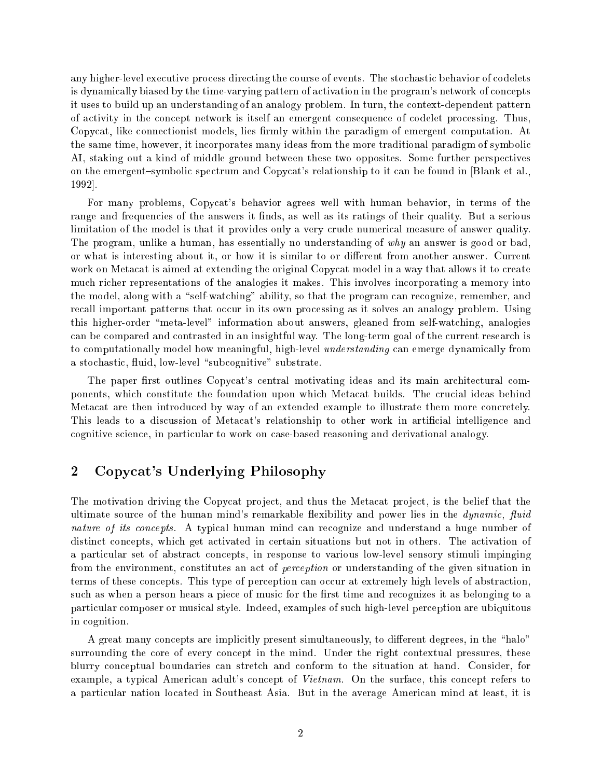any higher-level executive process directing the course of events. The stochastic behavior of codelets is dynamically biased by the time-varying pattern of activation in the program's network of concepts it uses to build up an understanding of an analogy problem. In turn, the context-dependent pattern of activity in the concept network is itself an emergent consequence of codelet processing. Thus, Copycat, like connectionist models, lies firmly within the paradigm of emergent computation. At the same time, however, it incorporates many ideas from the more traditional paradigm of symbolic AI, staking out a kind of middle ground between these two opposites. Some further perspectives on the emergent-symbolic spectrum and Copycat's relationship to it can be found in [Blank et al., 1992].

For many problems, Copycat's behavior agrees well with human behavior, in terms of the range and frequencies of the answers it finds, as well as its ratings of their quality. But a serious limitation of the model is that it provides only a very crude numerical measure of answer quality. The program, unlike a human, has essentially no understanding of why an answer is good or bad, or what is interesting about it, or how it is similar to or dierent from another answer. Current work on Metacat is aimed at extending the original Copycat model in a way that allows it to create much richer representations of the analogies it makes. This involves incorporating a memory into the model, along with a "self-watching" ability, so that the program can recognize, remember, and recall important patterns that occur in its own processing as it solves an analogy problem. Using this higher-order \meta-level" information about answers, gleaned from self-watching, analogies can be compared and contrasted in an insightful way. The long-term goal of the current research is to computationally model how meaningful, high-level *understanding* can emerge dynamically from a stochastic, fluid, low-level "subcognitive" substrate.

The paper first outlines Copycat's central motivating ideas and its main architectural components, which constitute the foundation upon which Metacat builds. The crucial ideas behind Metacat are then introduced by way of an extended example to illustrate them more concretely. This leads to a discussion of Metacat's relationship to other work in articial intelligence and cognitive science, in particular to work on case-based reasoning and derivational analogy.

## 2 Copycat's Underlying Philosophy

The motivation driving the Copycat project, and thus the Metacat project, is the belief that the ultimate source of the human mind's remarkable flexibility and power lies in the  $dynamic$ , fluid nature of its concepts. A typical human mind can recognize and understand a huge number of distinct concepts, which get activated in certain situations but not in others. The activation of a particular set of abstract concepts, in response to various low-level sensory stimuli impinging from the environment, constitutes an act of perception or understanding of the given situation in terms of these concepts. This type of perception can occur at extremely high levels of abstraction, such as when a person hears a piece of music for the first time and recognizes it as belonging to a particular composer or musical style. Indeed, examples of such high-level perception are ubiquitous in cognition.

A great many concepts are implicitly present simultaneously, to different degrees, in the "halo" surrounding the core of every concept in the mind. Under the right contextual pressures, these blurry conceptual boundaries can stretch and conform to the situation at hand. Consider, for example, a typical American adult's concept of Vietnam. On the surface, this concept refers to a particular nation located in Southeast Asia. But in the average American mind at least, it is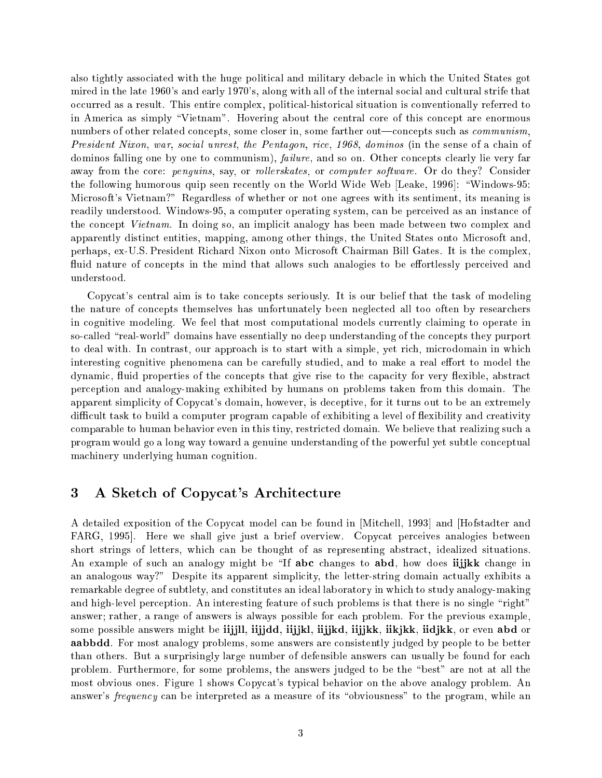also tightly associated with the huge political and military debacle in which the United States got mired in the late 1960's and early 1970's, along with all of the internal social and cultural strife that occurred as a result. This entire complex, political-historical situation is conventionally referred to in America as simply "Vietnam". Hovering about the central core of this concept are enormous numbers of other related concepts, some closer in, some farther out—concepts such as *communism*, President Nixon, war, social unrest, the Pentagon, rice, 1968, dominos (in the sense of a chain of dominos falling one by one to communism), *failure*, and so on. Other concepts clearly lie very far away from the core: penguins, say, or rollerskates, or computer software. Or do they? Consider the following humorous quip seen recently on the World Wide Web [Leake, 1996]: "Windows-95: Microsoft's Vietnam?" Regardless of whether or not one agrees with its sentiment, its meaning is readily understood. Windows-95, a computer operating system, can be perceived as an instance of the concept Vietnam. In doing so, an implicit analogy has been made between two complex and apparently distinct entities, mapping, among other things, the United States onto Microsoft and, perhaps, ex-U.S. President Richard Nixon onto Microsoft Chairman Bill Gates. It is the complex, fluid nature of concepts in the mind that allows such analogies to be effortlessly perceived and understood.

Copycat's central aim is to take concepts seriously. It is our belief that the task of modeling the nature of concepts themselves has unfortunately been neglected all too often by researchers in cognitive modeling. We feel that most computational models currently claiming to operate in so-called "real-world" domains have essentially no deep understanding of the concepts they purport to deal with. In contrast, our approach is to start with a simple, yet rich, microdomain in which interesting cognitive phenomena can be carefully studied, and to make a real effort to model the dynamic, fluid properties of the concepts that give rise to the capacity for very flexible, abstract perception and analogy-making exhibited by humans on problems taken from this domain. The apparent simplicity of Copycat's domain, however, is deceptive, for it turns out to be an extremely difficult task to build a computer program capable of exhibiting a level of flexibility and creativity comparable to human behavior even in this tiny, restricted domain. We believe that realizing such a program would go a long way toward a genuine understanding of the powerful yet subtle conceptual machinery underlying human cognition.

# 3 A Sketch of Copycat's Architecture

A detailed exposition of the Copycat model can be found in [Mitchell, 1993] and [Hofstadter and FARG, 1995]. Here we shall give just a brief overview. Copycat perceives analogies between short strings of letters, which can be thought of as representing abstract, idealized situations. An example of such an analogy might be "If abc changes to abd, how does iijjkk change in an analogous way?" Despite its apparent simplicity, the letter-string domain actually exhibits a remarkable degree of subtlety, and constitutes an ideal laboratory in which to study analogy-making and high-level perception. An interesting feature of such problems is that there is no single "right" answer; rather, a range of answers is always possible for each problem. For the previous example, some possible answers might be iijjll, iijjdd, iijjkl, iijjkd, iijjkk, iikjkk, iidjkk, or even abd or aabbdd. For most analogy problems, some answers are consistently judged by people to be better than others. But a surprisingly large number of defensible answers can usually be found for each problem. Furthermore, for some problems, the answers judged to be the \best" are not at all the most obvious ones. Figure 1 shows Copycat's typical behavior on the above analogy problem. An answer's frequency can be interpreted as a measure of its "obviousness" to the program, while an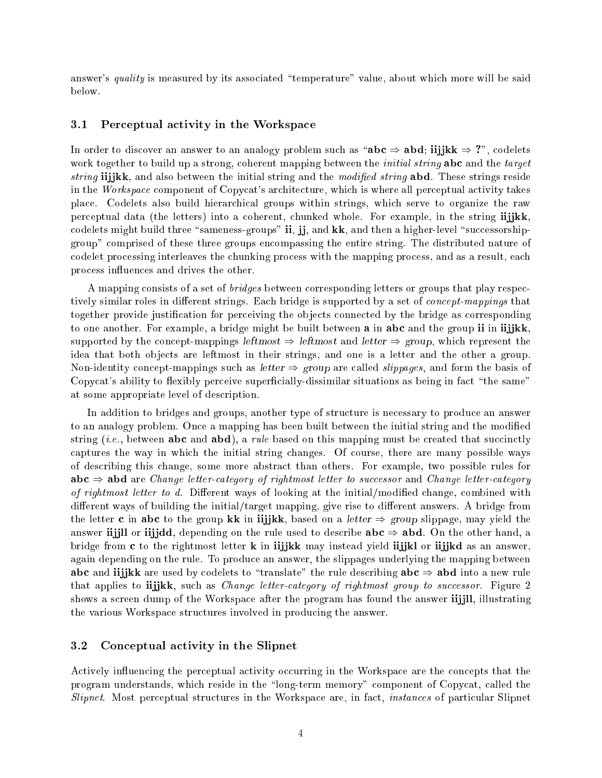answer's quality is measured by its associated "temperature" value, about which more will be said below.

#### 3.1Perceptual activity in the Workspace

In order to discover an answer to an analogy problem such as " $abc \Rightarrow abd; iijjkk \Rightarrow ?$ ", codelets work together to build up a strong, coherent mapping between the *initial string* abc and the *target* string iijjkk, and also between the initial string and the modified string abd. These strings reside in the Workspace component of Copycat's architecture, which is where all perceptual activity takes place. Codelets also build hierarchical groups within strings, which serve to organize the raw perceptual data (the letters) into a coherent, chunked whole. For example, in the string iijjkk, codelets might build three "sameness-groups" ii, jj, and kk, and then a higher-level "successorshipgroup" comprised of these three groups encompassing the entire string. The distributed nature of codelet processing interleaves the chunking process with the mapping process, and as a result, each process influences and drives the other.

A mapping consists of a set of *bridges* between corresponding letters or groups that play respectively similar roles in different strings. Each bridge is supported by a set of *concept-mappings* that together provide justification for perceiving the objects connected by the bridge as corresponding to one another. For example, a bridge might be built between **a** in abc and the group ii in iijjkk, supported by the concept-mappings leftmost  $\Rightarrow$  leftmost and letter  $\Rightarrow$  group, which represent the idea that both objects are leftmost in their strings, and one is a letter and the other a group. Non-identity concept-mappings such as letter  $\Rightarrow$  group are called *slippages*, and form the basis of Copycat's ability to flexibly perceive superficially-dissimilar situations as being in fact "the same" at some appropriate level of description.

In addition to bridges and groups, another type of structure is necessary to produce an answer to an analogy problem. Once a mapping has been built between the initial string and the modied string  $(i.e., between **abc** and **abd**), a rule based on this mapping must be created that succinctly$ captures the way in which the initial string changes. Of course, there are many possible ways of describing this change, some more abstract than others. For example, two possible rules for  $abc \Rightarrow abd$  are *Change letter-category of rightmost letter to successor* and *Change letter-category* of rightmost letter to d. Different ways of looking at the initial/modified change, combined with different ways of building the initial/target mapping, give rise to different answers. A bridge from the letter c in abc to the group kk in iijkk, based on a *letter*  $\Rightarrow$  group slippage, may yield the answer iijjll or iijjdd, depending on the rule used to describe  $abc \Rightarrow abd$ . On the other hand, a bridge from c to the rightmost letter k in iijjkk may instead yield iijjkl or iijjkd as an answer, again depending on the rule. To produce an answer, the slippages underlying the mapping between abc and iijjkk are used by codelets to "translate" the rule describing  $abc \Rightarrow abd$  into a new rule that applies to **ii**jkk, such as *Change letter-category of rightmost group to successor*. Figure 2 shows a screen dump of the Workspace after the program has found the answer iijjll, illustrating the various Workspace structures involved in producing the answer.

#### 3.2 Conceptual activity in the Slipnet

Actively influencing the perceptual activity occurring in the Workspace are the concepts that the program understands, which reside in the \long-term memory" component of Copycat, called the Slipnet. Most perceptual structures in the Workspace are, in fact, instances of particular Slipnet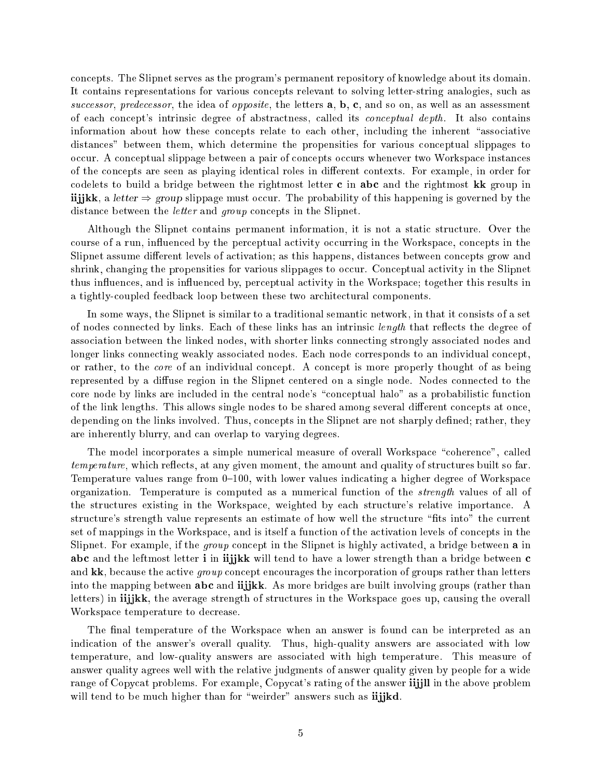concepts. The Slipnet serves as the program's permanent repository of knowledge about its domain. It contains representations for various concepts relevant to solving letter-string analogies, such as successor, predecessor, the idea of opposite, the letters  $a, b, c$ , and so on, as well as an assessment of each concept's intrinsic degree of abstractness, called its conceptual depth. It also contains information about how these concepts relate to each other, including the inherent "associative distances" between them, which determine the propensities for various conceptual slippages to occur. A conceptual slippage between a pair of concepts occurs whenever two Workspace instances of the concepts are seen as playing identical roles in different contexts. For example, in order for codelets to build a bridge between the rightmost letter <sup>c</sup> in abc and the rightmost kk group in iijjkk, a letter  $\Rightarrow$  group slippage must occur. The probability of this happening is governed by the distance between the *letter* and *group* concepts in the Slipnet.

Although the Slipnet contains permanent information, it is not a static structure. Over the course of a run, influenced by the perceptual activity occurring in the Workspace, concepts in the Slipnet assume different levels of activation; as this happens, distances between concepts grow and shrink, changing the propensities for various slippages to occur. Conceptual activity in the Slipnet thus in
uences, and is in
uenced by, perceptual activity in the Workspace; together this results in a tightly-coupled feedback loop between these two architectural components.

In some ways, the Slipnet is similar to a traditional semantic network, in that it consists of a set of nodes connected by links. Each of these links has an intrinsic *length* that reflects the degree of association between the linked nodes, with shorter links connecting strongly associated nodes and longer links connecting weakly associated nodes. Each node corresponds to an individual concept, or rather, to the core of an individual concept. A concept is more properly thought of as being represented by a diffuse region in the Slipnet centered on a single node. Nodes connected to the core node by links are included in the central node's \conceptual halo" as a probabilistic function of the link lengths. This allows single nodes to be shared among several different concepts at once, depending on the links involved. Thus, concepts in the Slipnet are not sharply defined; rather, they are inherently blurry, and can overlap to varying degrees.

The model incorporates a simple numerical measure of overall Workspace "coherence", called temperature, which reflects, at any given moment, the amount and quality of structures built so far. Temperature values range from  $0^{-100}$ , with lower values indicating a higher degree of Workspace organization. Temperature is computed as a numerical function of the strength values of all of the structures existing in the Workspace, weighted by each structure's relative importance. A structure's strength value represents an estimate of how well the structure \ts into" the current set of mappings in the Workspace, and is itself a function of the activation levels of concepts in the Slipnet. For example, if the group concept in the Slipnet is highly activated, a bridge between <sup>a</sup> in abc and the leftmost letter i in iijkk will tend to have a lower strength than a bridge between c and  $kk$ , because the active *group* concept encourages the incorporation of groups rather than letters into the mapping between **abc** and **iijjkk**. As more bridges are built involving groups (rather than letters) in iijjkk, the average strength of structures in the Workspace goes up, causing the overall Workspace temperature to decrease.

The final temperature of the Workspace when an answer is found can be interpreted as an indication of the answer's overall quality. Thus, high-quality answers are associated with low temperature, and low-quality answers are associated with high temperature. This measure of answer quality agrees well with the relative judgments of answer quality given by people for a wide range of Copycat problems. For example, Copycat's rating of the answer iijill in the above problem will tend to be much higher than for "weirder" answers such as iijjkd.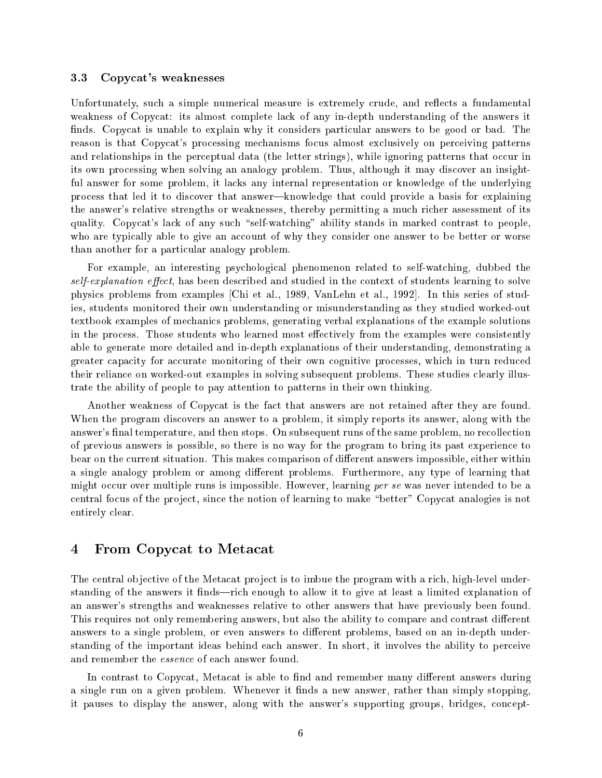#### 3.3Copycat's weaknesses

Unfortunately, such a simple numerical measure is extremely crude, and reflects a fundamental weakness of Copycat: its almost complete lack of any in-depth understanding of the answers it finds. Copycat is unable to explain why it considers particular answers to be good or bad. The reason is that Copycat's processing mechanisms focus almost exclusively on perceiving patterns and relationships in the perceptual data (the letter strings), while ignoring patterns that occur in its own processing when solving an analogy problem. Thus, although it may discover an insightful answer for some problem, it lacks any internal representation or knowledge of the underlying process that led it to discover that answer—knowledge that could provide a basis for explaining the answer's relative strengths or weaknesses, thereby permitting a much richer assessment of its quality. Copycat's lack of any such "self-watching" ability stands in marked contrast to people, who are typically able to give an account of why they consider one answer to be better or worse than another for a particular analogy problem.

For example, an interesting psychological phenomenon related to self-watching, dubbed the  $self-explanation$   $effect$ , has been described and studied in the context of students learning to solve physics problems from examples [Chi et al., 1989, VanLehn et al., 1992]. In this series of studies, students monitored their own understanding or misunderstanding as they studied worked-out textbook examples of mechanics problems, generating verbal explanations of the example solutions in the process. Those students who learned most effectively from the examples were consistently able to generate more detailed and in-depth explanations of their understanding, demonstrating a greater capacity for accurate monitoring of their own cognitive processes, which in turn reduced their reliance on worked-out examples in solving subsequent problems. These studies clearly illustrate the ability of people to pay attention to patterns in their own thinking.

Another weakness of Copycat is the fact that answers are not retained after they are found. When the program discovers an answer to a problem, it simply reports its answer, along with the answer's final temperature, and then stops. On subsequent runs of the same problem, no recollection of previous answers is possible, so there is no way for the program to bring its past experience to bear on the current situation. This makes comparison of different answers impossible, either within a single analogy problem or among different problems. Furthermore, any type of learning that might occur over multiple runs is impossible. However, learning per se was never intended to be a central focus of the project, since the notion of learning to make "better" Copycat analogies is not entirely clear.

### 4 From Copycat to Metacat

The central objective of the Metacat project is to imbue the program with a rich, high-level understanding of the answers it finds—rich enough to allow it to give at least a limited explanation of an answer's strengths and weaknesses relative to other answers that have previously been found. This requires not only remembering answers, but also the ability to compare and contrast different answers to a single problem, or even answers to different problems, based on an in-depth understanding of the important ideas behind each answer. In short, it involves the ability to perceive and remember the essence of each answer found.

In contrast to Copycat, Metacat is able to find and remember many different answers during a single run on a given problem. Whenever it finds a new answer, rather than simply stopping, it pauses to display the answer, along with the answer's supporting groups, bridges, concept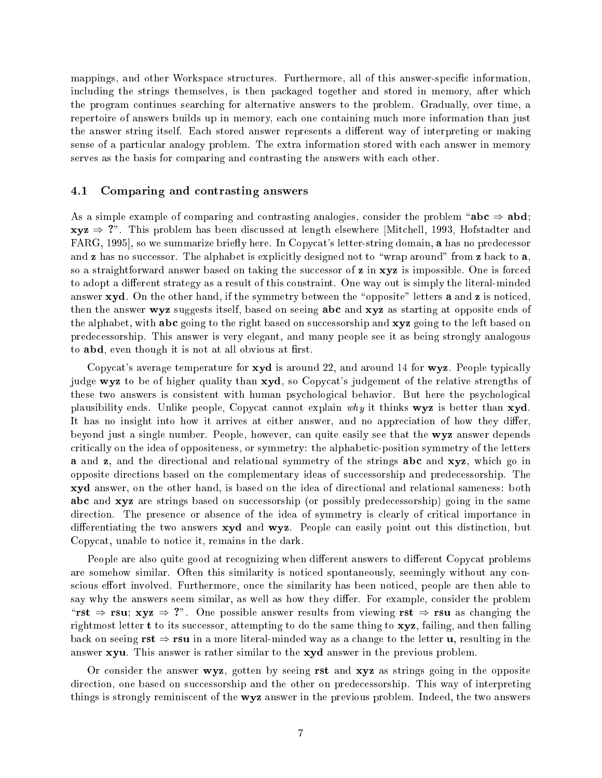mappings, and other Workspace structures. Furthermore, all of this answer-specific information, including the strings themselves, is then packaged together and stored in memory, after which the program continues searching for alternative answers to the problem. Gradually, over time, a repertoire of answers builds up in memory, each one containing much more information than just the answer string itself. Each stored answer represents a different way of interpreting or making sense of a particular analogy problem. The extra information stored with each answer in memory serves as the basis for comparing and contrasting the answers with each other.

#### 4.1Comparing and contrasting answers

As a simple example of comparing and contrasting analogies, consider the problem " $abc \Rightarrow abd;$  $xyz \Rightarrow$  ?". This problem has been discussed at length elsewhere [Mitchell, 1993, Hofstadter and FARG, 1995, so we summarize briefly here. In Copycat's letter-string domain, a has no predecessor and **z** has no successor. The alphabet is explicitly designed not to "wrap around" from **z** back to **a**. so a straightforward answer based on taking the successor of z in xyz is impossible. One is forced to adopt a different strategy as a result of this constraint. One way out is simply the literal-minded answer xyd. On the other hand, if the symmetry between the "opposite" letters a and z is noticed, then the answer wyz suggests itself, based on seeing abc and xyz as starting at opposite ends of the alphabet, with **abc** going to the right based on successorship and **xyz** going to the left based on predecessorship. This answer is very elegant, and many people see it as being strongly analogous to **abd**, even though it is not at all obvious at first.

Copycat's average temperature for  $xyd$  is around 22, and around 14 for  $wyz$ . People typically judge wyz to be of higher quality than xyd, so Copycat's judgement of the relative strengths of these two answers is consistent with human psychological behavior. But here the psychological plausibility ends. Unlike people, Copycat cannot explain why it thinks  $wyz$  is better than  $xyd$ . It has no insight into how it arrives at either answer, and no appreciation of how they differ. beyond just a single number. People, however, can quite easily see that the wyz answer depends critically on the idea of oppositeness, or symmetry: the alphabetic-position symmetry of the letters <sup>a</sup> and z, and the directional and relational symmetry of the strings abc and xyz, which go in opposite directions based on the complementary ideas of successorship and predecessorship. The xyd answer, on the other hand, is based on the idea of directional and relational sameness: both abc and xyz are strings based on successorship (or possibly predecessorship) going in the same direction. The presence or absence of the idea of symmetry is clearly of critical importance in differentiating the two answers  $\mathbf{xyd}$  and  $\mathbf{wyz}$ . People can easily point out this distinction, but Copycat, unable to notice it, remains in the dark.

People are also quite good at recognizing when different answers to different Copycat problems are somehow similar. Often this similarity is noticed spontaneously, seemingly without any conscious effort involved. Furthermore, once the similarity has been noticed, people are then able to say why the answers seem similar, as well as how they differ. For example, consider the problem "rst  $\Rightarrow$  rsu; xyz  $\Rightarrow$  ?". One possible answer results from viewing rst  $\Rightarrow$  rsu as changing the rightmost letter <sup>t</sup> to its successor, attempting to do the same thing to xyz, failing, and then falling back on seeing  $rst \Rightarrow rsu$  in a more literal-minded way as a change to the letter u, resulting in the answer xyu. This answer is rather similar to the xyd answer in the previous problem.

Or consider the answer  $wyz$ , gotten by seeing rst and  $xyz$  as strings going in the opposite direction, one based on successorship and the other on predecessorship. This way of interpreting things is strongly reminiscent of the wyz answer in the previous problem. Indeed, the two answers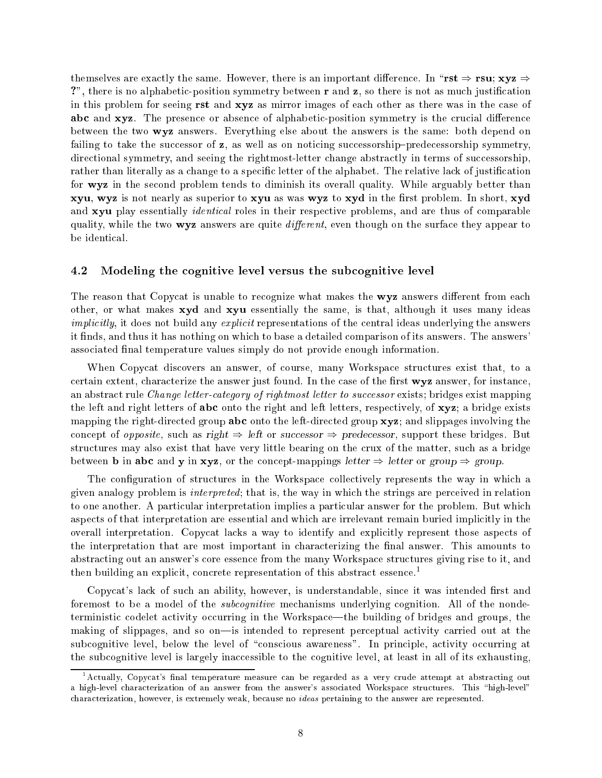themselves are exactly the same. However, there is an important difference. In "rst  $\Rightarrow$  rsu; xyz  $\Rightarrow$ ?", there is no alphabetic-position symmetry between r and z, so there is not as much justification in this problem for seeing rst and xyz as mirror images of each other as there was in the case of abc and xyz. The presence or absence of alphabetic-position symmetry is the crucial difference between the two wyz answers. Everything else about the answers is the same: both depend on failing to take the successor of  $z$ , as well as on noticing successorship-predecessorship symmetry, directional symmetry, and seeing the rightmost-letter change abstractly in terms of successorship, rather than literally as a change to a specific letter of the alphabet. The relative lack of justification for **wyz** in the second problem tends to diminish its overall quality. While arguably better than xyu, wyz is not nearly as superior to xyu as was wyz to xyd in the first problem. In short, xyd and xyu play essentially *identical* roles in their respective problems, and are thus of comparable quality, while the two  $\mathbf{w} \mathbf{y} \mathbf{z}$  answers are quite *different*, even though on the surface they appear to be identical.

#### 4.2Modeling the cognitive level versus the subcognitive level

The reason that Copycat is unable to recognize what makes the wyz answers different from each other, or what makes xyd and xyu essentially the same, is that, although it uses many ideas implicitly, it does not build any explicit representations of the central ideas underlying the answers it nds, and thus it has nothing on which to base a detailed comparison of its answers. The answers' associated final temperature values simply do not provide enough information.

When Copycat discovers an answer, of course, many Workspace structures exist that, to a certain extent, characterize the answer just found. In the case of the first wyz answer, for instance, an abstract rule Change letter-category of rightmost letter to successor exists; bridges exist mapping the left and right letters of abc onto the right and left letters, respectively, of xyz; a bridge exists mapping the right-directed group abc onto the left-directed group xyz; and slippages involving the concept of *opposite*, such as right  $\Rightarrow$  left or successor  $\Rightarrow$  predecessor, support these bridges. But structures may also exist that have very little bearing on the crux of the matter, such as a bridge between **b** in abc and **y** in xyz, or the concept-mappings letter  $\Rightarrow$  letter or group  $\Rightarrow$  group.

The configuration of structures in the Workspace collectively represents the way in which a given analogy problem is interpreted; that is, the way in which the strings are perceived in relation to one another. A particular interpretation implies a particular answer for the problem. But which aspects of that interpretation are essential and which are irrelevant remain buried implicitly in the overall interpretation. Copycat lacks a way to identify and explicitly represent those aspects of the interpretation that are most important in characterizing the final answer. This amounts to abstracting out an answer's core essence from the many Workspace structures giving rise to it, and then building an explicit, concrete representation of this abstract essence.<sup>1</sup>

Copycat's lack of such an ability, however, is understandable, since it was intended first and foremost to be a model of the subcognitive mechanisms underlying cognition. All of the nondeterministic codelet activity occurring in the Workspace—the building of bridges and groups, the making of slippages, and so on-is intended to represent perceptual activity carried out at the subcognitive level, below the level of "conscious awareness". In principle, activity occurring at the subcognitive level is largely inaccessible to the cognitive level, at least in all of its exhausting,

<sup>1</sup> Actually, Copycat's nal temperature measure can be regarded as a very crude attempt at abstracting out a high-level characterization of an answer from the answer's associated Workspace structures. This "high-level" characterization, however, is extremely weak, because no ideas pertaining to the answer are represented.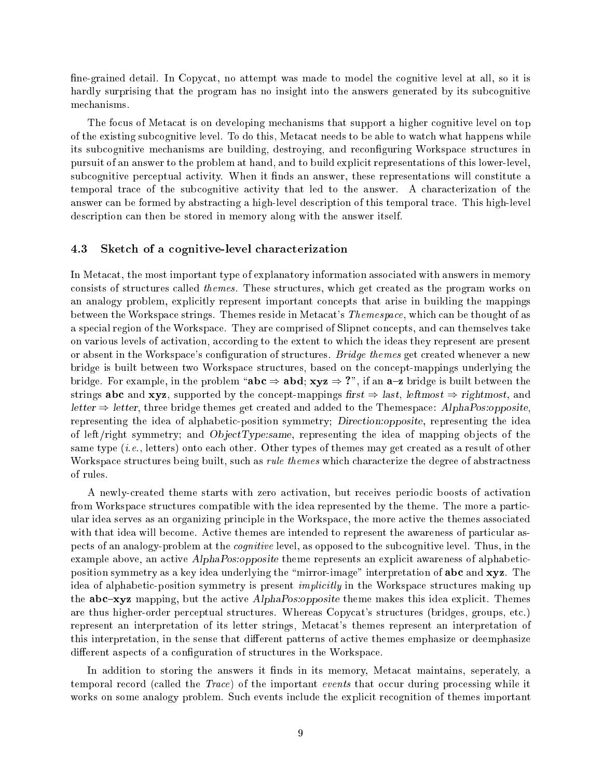fine-grained detail. In Copycat, no attempt was made to model the cognitive level at all, so it is hardly surprising that the program has no insight into the answers generated by its subcognitive mechanisms.

The focus of Metacat is on developing mechanisms that support a higher cognitive level on top of the existing subcognitive level. To do this, Metacat needs to be able to watch what happens while its subcognitive mechanisms are building, destroying, and reconguring Workspace structures in pursuit of an answer to the problem at hand, and to build explicit representations of this lower-level, subcognitive perceptual activity. When it finds an answer, these representations will constitute a temporal trace of the subcognitive activity that led to the answer. A characterization of the answer can be formed by abstracting a high-level description of this temporal trace. This high-level description can then be stored in memory along with the answer itself.

#### 4.3Sketch of <sup>a</sup> cognitive-level characterization

In Metacat, the most important type of explanatory information associated with answers in memory consists of structures called themes. These structures, which get created as the program works on an analogy problem, explicitly represent important concepts that arise in building the mappings between the Workspace strings. Themes reside in Metacat's Themespace, which can be thought of as a special region of the Workspace. They are comprised of Slipnet concepts, and can themselves take on various levels of activation, according to the extent to which the ideas they represent are present or absent in the Workspace's configuration of structures. *Bridge themes* get created whenever a new bridge is built between two Workspace structures, based on the concept-mappings underlying the bridge. For example, in the problem "abc  $\Rightarrow$  abd; xyz  $\Rightarrow$  ?", if an a-z bridge is built between the strings abc and xyz, supported by the concept-mappings first  $\Rightarrow$  last, leftmost  $\Rightarrow$  rightmost, and letter  $\Rightarrow$  letter, three bridge themes get created and added to the Themespace: AlphaPos:opposite, representing the idea of alphabetic-position symmetry; Direction:opposite, representing the idea of left/right symmetry; and  $ObjectType: same$ , representing the idea of mapping objects of the same type (*i.e.*, letters) onto each other. Other types of themes may get created as a result of other Workspace structures being built, such as *rule themes* which characterize the degree of abstractness of rules.

A newly-created theme starts with zero activation, but receives periodic boosts of activation from Workspace structures compatible with the idea represented by the theme. The more a particular idea serves as an organizing principle in the Workspace, the more active the themes associated with that idea will become. Active themes are intended to represent the awareness of particular aspects of an analogy-problem at the cognitive level, as opposed to the subcognitive level. Thus, in the example above, an active AlphaPos:opposite theme represents an explicit awareness of alphabeticposition symmetry as a key idea underlying the "mirror-image" interpretation of **abc** and xyz. The idea of alphabetic-position symmetry is present implicitly in the Workspace structures making up the **abc-xyz** mapping, but the active *AlphaPos:opposite* theme makes this idea explicit. Themes are thus higher-order perceptual structures. Whereas Copycat's structures (bridges, groups, etc.) represent an interpretation of its letter strings, Metacat's themes represent an interpretation of this interpretation, in the sense that different patterns of active themes emphasize or deemphasize different aspects of a configuration of structures in the Workspace.

In addition to storing the answers it finds in its memory, Metacat maintains, seperately, a temporal record (called the Trace) of the important events that occur during processing while it works on some analogy problem. Such events include the explicit recognition of themes important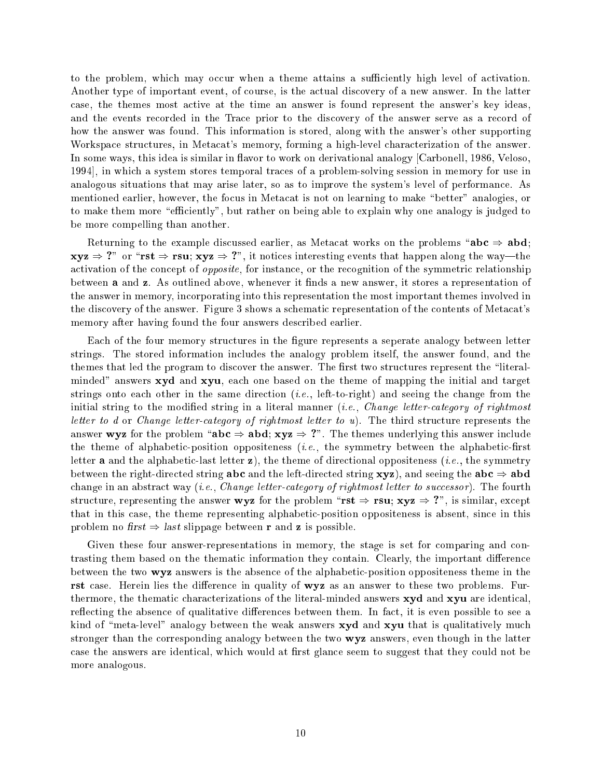to the problem, which may occur when a theme attains a sufficiently high level of activation. Another type of important event, of course, is the actual discovery of a new answer. In the latter case, the themes most active at the time an answer is found represent the answer's key ideas, and the events recorded in the Trace prior to the discovery of the answer serve as a record of how the answer was found. This information is stored, along with the answer's other supporting Workspace structures, in Metacat's memory, forming a high-level characterization of the answer. In some ways, this idea is similar in flavor to work on derivational analogy [Carbonell, 1986, Veloso, 1994], in which a system stores temporal traces of a problem-solving session in memory for use in analogous situations that may arise later, so as to improve the system's level of performance. As mentioned earlier, however, the focus in Metacat is not on learning to make "better" analogies, or to make them more "efficiently", but rather on being able to explain why one analogy is judged to be more compelling than another.

Returning to the example discussed earlier, as Metacat works on the problems "abc  $\Rightarrow$  abd;  $xyz \Rightarrow$  ?" or "rst  $\Rightarrow$  rsu;  $xyz \Rightarrow$  ?", it notices interesting events that happen along the way—the activation of the concept of opposite, for instance, or the recognition of the symmetric relationship between **a** and **z**. As outlined above, whenever it finds a new answer, it stores a representation of the answer in memory, incorporating into this representation the most important themes involved in the discovery of the answer. Figure 3 shows a schematic representation of the contents of Metacat's memory after having found the four answers described earlier.

Each of the four memory structures in the figure represents a seperate analogy between letter strings. The stored information includes the analogy problem itself, the answer found, and the themes that led the program to discover the answer. The first two structures represent the "literalminded" answers xyd and xyu, each one based on the theme of mapping the initial and target strings onto each other in the same direction  $(i.e., \text{ left-to-right})$  and seeing the change from the initial string to the modified string in a literal manner *(i.e., Change letter-category of rightmost* letter to d or Change letter-category of rightmost letter to u). The third structure represents the answer wyz for the problem "abc  $\Rightarrow$  abd; xyz  $\Rightarrow$  ?". The themes underlying this answer include the theme of alphabetic-position oppositeness  $(i.e.,$  the symmetry between the alphabetic-first letter **a** and the alphabetic-last letter **z**), the theme of directional oppositeness (*i.e.*, the symmetry between the right-directed string **abc** and the left-directed string  $\mathbf{xyz}$ ), and seeing the **abc**  $\Rightarrow$  **abd** change in an abstract way (*i.e.*, *Change letter-category of rightmost letter to successor*). The fourth structure, representing the answer wyz for the problem "rst  $\Rightarrow$  rsu; xyz  $\Rightarrow$  ?", is similar, except that in this case, the theme representing alphabetic-position oppositeness is absent, since in this problem no first  $\Rightarrow$  last slippage between r and z is possible.

Given these four answer-representations in memory, the stage is set for comparing and contrasting them based on the thematic information they contain. Clearly, the important difference between the two wyz answers is the absence of the alphabetic-position oppositeness theme in the rst case. Herein lies the difference in quality of wyz as an answer to these two problems. Furthermore, the thematic characterizations of the literal-minded answers xyd and xyu are identical, reflecting the absence of qualitative differences between them. In fact, it is even possible to see a kind of "meta-level" analogy between the weak answers  $xyd$  and  $xyu$  that is qualitatively much stronger than the corresponding analogy between the two **wyz** answers, even though in the latter case the answers are identical, which would at first glance seem to suggest that they could not be more analogous.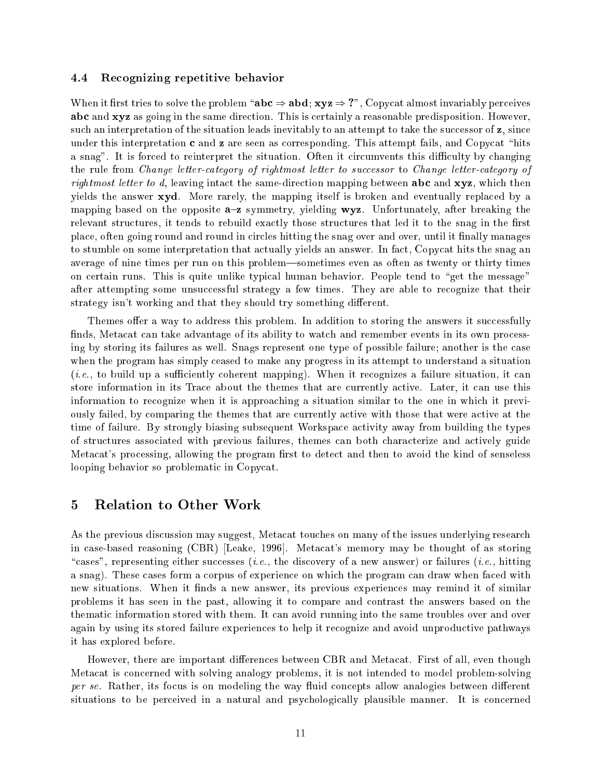#### 4.4Recognizing repetitive behavior

When it first tries to solve the problem " $abc \Rightarrow abd$ ;  $xyz \Rightarrow$  ?", Copycat almost invariably perceives abc and xyz as going in the same direction. This is certainly a reasonable predisposition. However, such an interpretation of the situation leads inevitably to an attempt to take the successor of z, since under this interpretation  $\bf{c}$  and  $\bf{z}$  are seen as corresponding. This attempt fails, and Copycat "hits a snag". It is forced to reinterpret the situation. Often it circumvents this difficulty by changing the rule from Change letter-category of rightmost letter to successor to Change letter-category of rightmost letter to  $d$ , leaving intact the same-direction mapping between abc and  $xyz$ , which then yields the answer xyd. More rarely, the mapping itself is broken and eventually replaced by a mapping based on the opposite  $a-z$  symmetry, yielding  $wyz$ . Unfortunately, after breaking the relevant structures, it tends to rebuild exactly those structures that led it to the snag in the first place, often going round and round in circles hitting the snag over and over, until it finally manages to stumble on some interpretation that actually yields an answer. In fact, Copycat hits the snag an average of nine times per run on this problem—sometimes even as often as twenty or thirty times on certain runs. This is quite unlike typical human behavior. People tend to "get the message" after attempting some unsuccessful strategy a few times. They are able to recognize that their strategy isn't working and that they should try something different.

Themes offer a way to address this problem. In addition to storing the answers it successfully finds, Metacat can take advantage of its ability to watch and remember events in its own processing by storing its failures as well. Snags represent one type of possible failure; another is the case when the program has simply ceased to make any progress in its attempt to understand a situation  $(i.e., to build up a sufficiently coherent mapping).$  When it recognizes a failure situation, it can store information in its Trace about the themes that are currently active. Later, it can use this information to recognize when it is approaching a situation similar to the one in which it previously failed, by comparing the themes that are currently active with those that were active at the time of failure. By strongly biasing subsequent Workspace activity away from building the types of structures associated with previous failures, themes can both characterize and actively guide Metacat's processing, allowing the program first to detect and then to avoid the kind of senseless looping behavior so problematic in Copycat.

### 5 Relation to Other Work

As the previous discussion may suggest, Metacat touches on many of the issues underlying research in case-based reasoning (CBR) [Leake, 1996]. Metacat's memory may be thought of as storing "cases", representing either successes (*i.e.*, the discovery of a new answer) or failures (*i.e.*, hitting a snag). These cases form a corpus of experience on which the program can draw when faced with new situations. When it finds a new answer, its previous experiences may remind it of similar problems it has seen in the past, allowing it to compare and contrast the answers based on the thematic information stored with them. It can avoid running into the same troubles over and over again by using its stored failure experiences to help it recognize and avoid unproductive pathways it has explored before.

However, there are important differences between CBR and Metacat. First of all, even though Metacat is concerned with solving analogy problems, it is not intended to model problem-solving per se. Rather, its focus is on modeling the way fluid concepts allow analogies between different situations to be perceived in a natural and psychologically plausible manner. It is concerned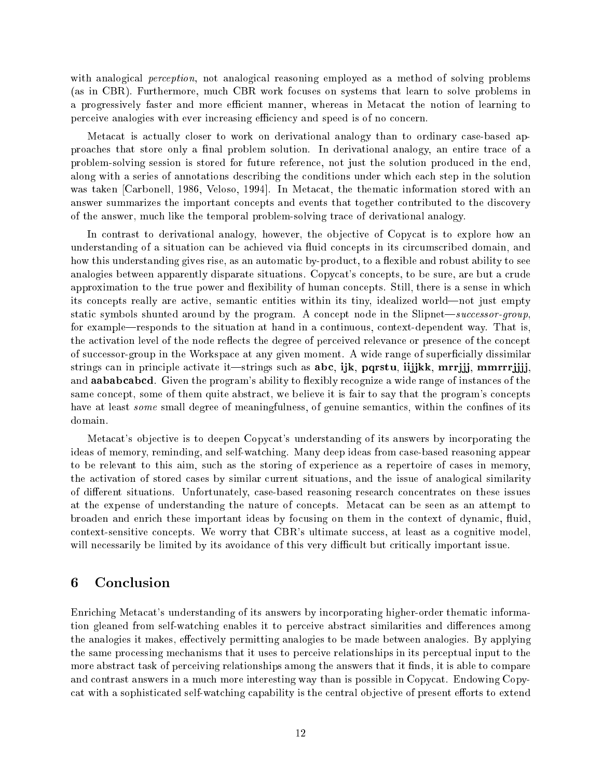with analogical *perception*, not analogical reasoning employed as a method of solving problems (as in CBR). Furthermore, much CBR work focuses on systems that learn to solve problems in a progressively faster and more efficient manner, whereas in Metacat the notion of learning to perceive analogies with ever increasing efficiency and speed is of no concern.

Metacat is actually closer to work on derivational analogy than to ordinary case-based approaches that store only a final problem solution. In derivational analogy, an entire trace of a problem-solving session is stored for future reference, not just the solution produced in the end, along with a series of annotations describing the conditions under which each step in the solution was taken [Carbonell, 1986, Veloso, 1994]. In Metacat, the thematic information stored with an answer summarizes the important concepts and events that together contributed to the discovery of the answer, much like the temporal problem-solving trace of derivational analogy.

In contrast to derivational analogy, however, the objective of Copycat is to explore how an understanding of a situation can be achieved via fluid concepts in its circumscribed domain, and how this understanding gives rise, as an automatic by-product, to a flexible and robust ability to see analogies between apparently disparate situations. Copycat's concepts, to be sure, are but a crude approximation to the true power and flexibility of human concepts. Still, there is a sense in which its concepts really are active, semantic entities within its tiny, idealized world—not just empty static symbols shunted around by the program. A concept node in the Slipnet—successor-group, for example—responds to the situation at hand in a continuous, context-dependent way. That is, the activation level of the node reflects the degree of perceived relevance or presence of the concept of successor-group in the Workspace at any given moment. A wide range of superficially dissimilar strings can in principle activate it—strings such as abc, ijk, pqrstu, iijjkk, mrrjjj, mmrrrjjjj, and **aababcabcd**. Given the program's ability to flexibly recognize a wide range of instances of the same concept, some of them quite abstract, we believe it is fair to say that the program's concepts have at least *some* small degree of meaningfulness, of genuine semantics, within the confines of its domain.

Metacat's ob jective is to deepen Copycat's understanding of its answers by incorporating the ideas of memory, reminding, and self-watching. Many deep ideas from case-based reasoning appear to be relevant to this aim, such as the storing of experience as a repertoire of cases in memory, the activation of stored cases by similar current situations, and the issue of analogical similarity of different situations. Unfortunately, case-based reasoning research concentrates on these issues at the expense of understanding the nature of concepts. Metacat can be seen as an attempt to broaden and enrich these important ideas by focusing on them in the context of dynamic, fluid, context-sensitive concepts. We worry that CBR's ultimate success, at least as a cognitive model, will necessarily be limited by its avoidance of this very difficult but critically important issue.

### 6 **Conclusion**

Enriching Metacat's understanding of its answers by incorporating higher-order thematic information gleaned from self-watching enables it to perceive abstract similarities and differences among the analogies it makes, effectively permitting analogies to be made between analogies. By applying the same processing mechanisms that it uses to perceive relationships in its perceptual input to the more abstract task of perceiving relationships among the answers that it finds, it is able to compare and contrast answers in a much more interesting way than is possible in Copycat. Endowing Copycat with a sophisticated self-watching capability is the central objective of present efforts to extend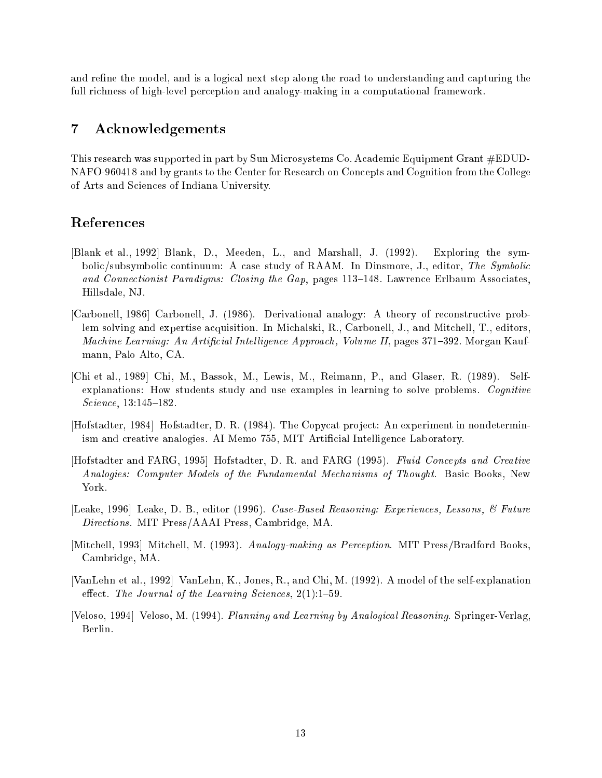and refine the model, and is a logical next step along the road to understanding and capturing the full richness of high-level perception and analogy-making in a computational framework.

### $\overline{7}$ Acknowledgements

This research was supported in part by Sun Microsystems Co. Academic Equipment Grant #EDUD-NAFO-960418 and by grants to the Center for Research on Concepts and Cognition from the College of Arts and Sciences of Indiana University.

# References

- [Blank et al., 1992] Blank, D., Meeden, L., and Marshall, J. (1992). Exploring the symbolic/subsymbolic continuum: A case study of RAAM. In Dinsmore, J., editor, The Symbolic and Connectionist Paradigms: Closing the Gap, pages  $113-148$ . Lawrence Erlbaum Associates, Hillsdale, NJ.
- [Carbonell, 1986] Carbonell, J. (1986). Derivational analogy: A theory of reconstructive problem solving and expertise acquisition. In Michalski, R., Carbonell, J., and Mitchell, T., editors, Machine Learning: An Artificial Intelligence Approach, Volume II, pages 371–392. Morgan Kaufmann, Palo Alto, CA.
- [Chi et al., 1989] Chi, M., Bassok, M., Lewis, M., Reimann, P., and Glaser, R. (1989). Selfexplanations: How students study and use examples in learning to solve problems. Cognitive  $Science, 13:145–182.$
- [Hofstadter, 1984] Hofstadter, D. R. (1984). The Copycat project: An experiment in nondeterminism and creative analogies. AI Memo 755, MIT Articial Intelligence Laboratory.
- [Hofstadter and FARG, 1995] Hofstadter, D. R. and FARG (1995). Fluid Concepts and Creative Analogies: Computer Models of the Fundamental Mechanisms of Thought. Basic Books, New York.
- [Leake, 1996] Leake, D. B., editor (1996). Case-Based Reasoning: Experiences, Lessons, & Future Directions. MIT Press/AAAI Press, Cambridge, MA.
- [Mitchell, 1993] Mitchell, M. (1993). Analogy-making as Perception. MIT Press/Bradford Books. Cambridge, MA.
- [VanLehn et al., 1992] VanLehn, K., Jones, R., and Chi, M. (1992). A model of the self-explanation effect. The Journal of the Learning Sciences,  $2(1):1-59$ .
- [Veloso, 1994] Veloso, M. (1994). Planning and Learning by Analogical Reasoning. Springer-Verlag, Berlin.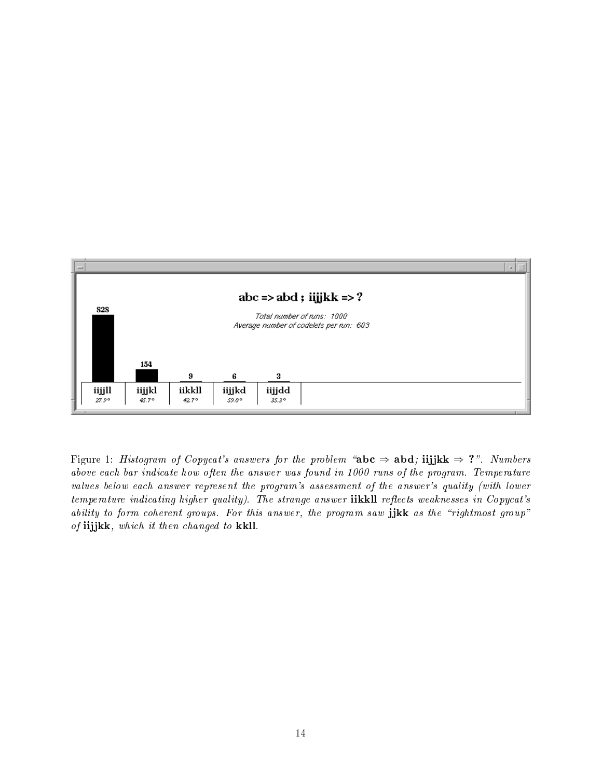

Figure 1: Histogram of Copycat's answers for the problem "abc  $\Rightarrow$  abd; iijjkk  $\Rightarrow$  ?". Numbers above each bar indicate how often the answer was found in 1000 runs of the program. Temperature values below each answer represent the program's assessment of the answer's quality (with lower  $temperature\ indicating\ higher\ quality)$ . The strange answer  $\textbf{ikkill}$  reflects weaknesses in Copycat's ability to form coherent groups. For this answer, the program saw  $\mathbf{j}$ jkk as the "rightmost group" of  $iijjkk$ , which it then changed to kkll.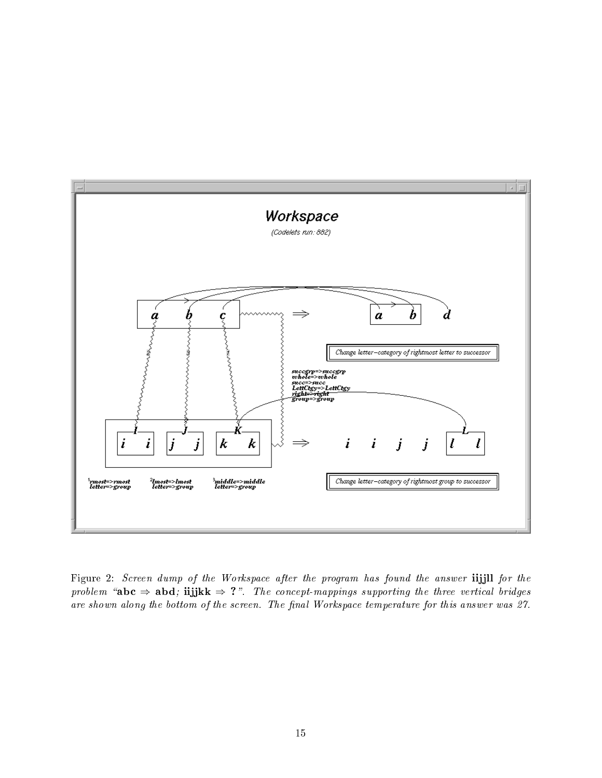

Figure 2: Screen dump of the Workspace after the program has found the answer iijjll for the problem "abc  $\Rightarrow$  abd; iijjkk  $\Rightarrow$  ?". The concept-mappings supporting the three vertical bridges are shown along the bottom of the screen. The final Workspace temperature for this answer was 27.